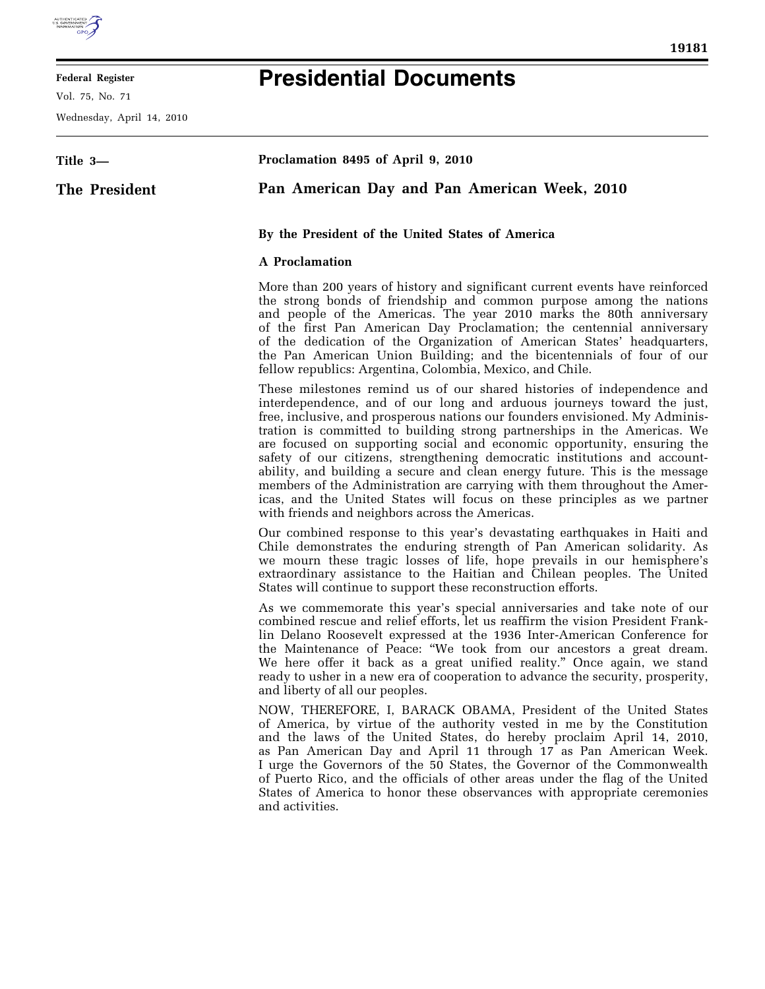

E

## **Federal Register**

Vol. 75, No. 71

Wednesday, April 14, 2010

## **Presidential Documents**

| Title 3-      | Proclamation 8495 of April 9, 2010                                                                                                                                                                                                                                                                                                                                                                                                                                                                                                                                                                                                                                                                                                                               |
|---------------|------------------------------------------------------------------------------------------------------------------------------------------------------------------------------------------------------------------------------------------------------------------------------------------------------------------------------------------------------------------------------------------------------------------------------------------------------------------------------------------------------------------------------------------------------------------------------------------------------------------------------------------------------------------------------------------------------------------------------------------------------------------|
| The President | Pan American Day and Pan American Week, 2010                                                                                                                                                                                                                                                                                                                                                                                                                                                                                                                                                                                                                                                                                                                     |
|               | By the President of the United States of America                                                                                                                                                                                                                                                                                                                                                                                                                                                                                                                                                                                                                                                                                                                 |
|               | <b>A</b> Proclamation                                                                                                                                                                                                                                                                                                                                                                                                                                                                                                                                                                                                                                                                                                                                            |
|               | More than 200 years of history and significant current events have reinforced<br>the strong bonds of friendship and common purpose among the nations<br>and people of the Americas. The year 2010 marks the 80th anniversary<br>of the first Pan American Day Proclamation; the centennial anniversary<br>of the dedication of the Organization of American States' headquarters,<br>the Pan American Union Building; and the bicentennials of four of our<br>fellow republics: Argentina, Colombia, Mexico, and Chile.                                                                                                                                                                                                                                          |
|               | These milestones remind us of our shared histories of independence and<br>interdependence, and of our long and arduous journeys toward the just,<br>free, inclusive, and prosperous nations our founders envisioned. My Adminis-<br>tration is committed to building strong partnerships in the Americas. We<br>are focused on supporting social and economic opportunity, ensuring the<br>safety of our citizens, strengthening democratic institutions and account-<br>ability, and building a secure and clean energy future. This is the message<br>members of the Administration are carrying with them throughout the Amer-<br>icas, and the United States will focus on these principles as we partner<br>with friends and neighbors across the Americas. |
|               | Our combined response to this year's devastating earthquakes in Haiti and<br>Chile demonstrates the enduring strength of Pan American solidarity. As<br>we mourn these tragic losses of life, hope prevails in our hemisphere's<br>extraordinary assistance to the Haitian and Chilean peoples. The United<br>States will continue to support these reconstruction efforts.                                                                                                                                                                                                                                                                                                                                                                                      |
|               | As we commemorate this year's special anniversaries and take note of our<br>combined rescue and relief efforts, let us reaffirm the vision President Frank-<br>lin Delano Roosevelt expressed at the 1936 Inter-American Conference for<br>the Maintenance of Peace: "We took from our ancestors a great dream.<br>We here offer it back as a great unified reality." Once again, we stand<br>ready to usher in a new era of cooperation to advance the security, prosperity,<br>and liberty of all our peoples.                                                                                                                                                                                                                                                 |
|               | NOW, THEREFORE, I, BARACK OBAMA, President of the United States<br>of America, by virtue of the authority vested in me by the Constitution<br>and the laws of the United States, do hereby proclaim April 14, 2010,<br>as Pan American Day and April 11 through 17 as Pan American Week.<br>I urge the Governors of the 50 States, the Governor of the Commonwealth<br>of Puerto Rico, and the officials of other areas under the flag of the United<br>States of America to honor these observances with appropriate ceremonies<br>and activities.                                                                                                                                                                                                              |
|               |                                                                                                                                                                                                                                                                                                                                                                                                                                                                                                                                                                                                                                                                                                                                                                  |